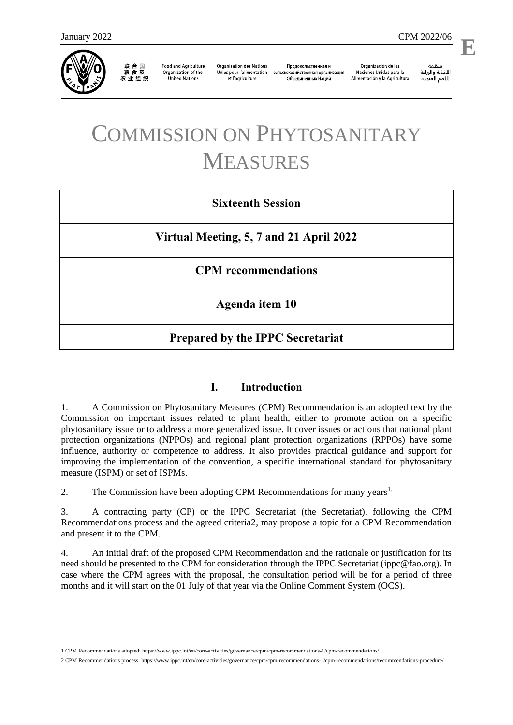

1

联 合 国<br>粮 食 及 农业组织

**Food and Agriculture** Organization of the **United Nations** 

**Organisation des Nations** Unies pour l'alimentation et l'agriculture

Продовольственная и сельскохозяйственная организация Объелиненных Наций

Organización de las Naciones Unidas para la Alimentación y la Agricultura

منظمة الأغذية والزراعة للأمم المتحدة

l,

# COMMISSION ON PHYTOSANITARY MEASURES

### **Sixteenth Session**

**Virtual Meeting, 5, 7 and 21 April 2022**

#### **CPM recommendations**

**Agenda item 10**

## **Prepared by the IPPC Secretariat**

#### **I. Introduction**

1. A Commission on Phytosanitary Measures (CPM) Recommendation is an adopted text by the Commission on important issues related to plant health, either to promote action on a specific phytosanitary issue or to address a more generalized issue. It cover issues or actions that national plant protection organizations (NPPOs) and regional plant protection organizations (RPPOs) have some influence, authority or competence to address. It also provides practical guidance and support for improving the implementation of the convention, a specific international standard for phytosanitary measure (ISPM) or set of ISPMs.

2. The Commission have been adopting CPM Recommendations for many years<sup>1.</sup>

3. A contracting party (CP) or the IPPC Secretariat (the Secretariat), following the CPM Recommendations process and the agreed criteria2, may propose a topic for a CPM Recommendation and present it to the CPM.

4. An initial draft of the proposed CPM Recommendation and the rationale or justification for its need should be presented to the CPM for consideration through the IPPC Secretariat [\(ippc@fao.org\)](mailto:ippc@fao.org). In case where the CPM agrees with the proposal, the consultation period will be for a period of three months and it will start on the 01 July of that year via the Online Comment System (OCS).

<sup>1</sup> CPM Recommendations adopted[: https://www.ippc.int/en/core-activities/governance/cpm/cpm-recommendations-1/cpm-recommendations/](https://www.ippc.int/en/core-activities/governance/cpm/cpm-recommendations-1/cpm-recommendations/)

<sup>2</sup> CPM Recommendations process[: https://www.ippc.int/en/core-activities/governance/cpm/cpm-recommendations-1/cpm-recommendations/recommendations-procedure/](https://www.ippc.int/en/core-activities/governance/cpm/cpm-recommendations-1/cpm-recommendations/recommendations-procedure/)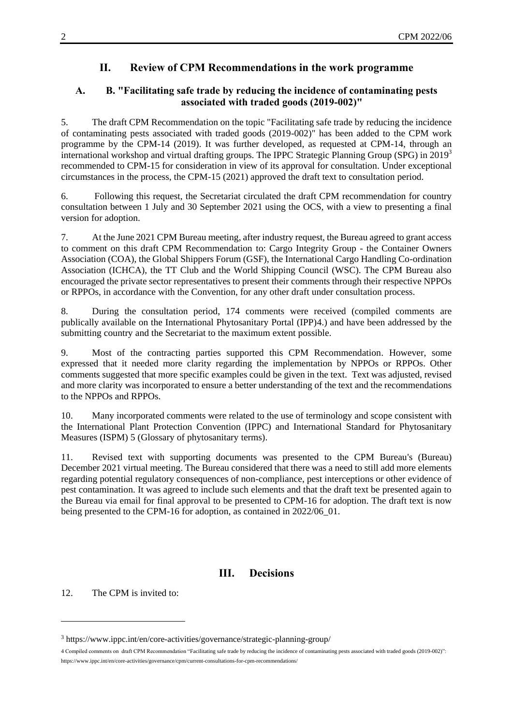#### **II. Review of CPM Recommendations in the work programme**

#### **A. B. "Facilitating safe trade by reducing the incidence of contaminating pests associated with traded goods (2019-002)"**

5. The draft CPM Recommendation on the topic "Facilitating safe trade by reducing the incidence of contaminating pests associated with traded goods (2019-002)" has been added to the CPM work programme by the CPM-14 (2019). It was further developed, as requested at CPM-14, through an international workshop and virtual drafting groups. The IPPC Strategic Planning Group (SPG) in 2019<sup>3</sup> recommended to CPM-15 for consideration in view of its approval for consultation. Under exceptional circumstances in the process, the CPM-15 (2021) approved the draft text to consultation period.

6. Following this request, the Secretariat circulated the draft CPM recommendation for country consultation between 1 July and 30 September 2021 using the OCS, with a view to presenting a final version for adoption.

7. At the June 2021 CPM Bureau meeting, after industry request, the Bureau agreed to grant access to comment on this draft CPM Recommendation to: Cargo Integrity Group - the Container Owners Association (COA), the Global Shippers Forum (GSF), the International Cargo Handling Co-ordination Association (ICHCA), the TT Club and the World Shipping Council (WSC). The CPM Bureau also encouraged the private sector representatives to present their comments through their respective NPPOs or RPPOs, in accordance with the Convention, for any other draft under consultation process.

8. During the consultation period, 174 comments were received (compiled comments are publically available on the International Phytosanitary Portal (IPP)4.) and have been addressed by the submitting country and the Secretariat to the maximum extent possible.

9. Most of the contracting parties supported this CPM Recommendation. However, some expressed that it needed more clarity regarding the implementation by NPPOs or RPPOs. Other comments suggested that more specific examples could be given in the text. Text was adjusted, revised and more clarity was incorporated to ensure a better understanding of the text and the recommendations to the NPPOs and RPPOs.

10. Many incorporated comments were related to the use of terminology and scope consistent with the International Plant Protection Convention (IPPC) and International Standard for Phytosanitary Measures (ISPM) 5 (Glossary of phytosanitary terms).

11. Revised text with supporting documents was presented to the CPM Bureau's (Bureau) December 2021 virtual meeting. The Bureau considered that there was a need to still add more elements regarding potential regulatory consequences of non-compliance, pest interceptions or other evidence of pest contamination. It was agreed to include such elements and that the draft text be presented again to the Bureau via email for final approval to be presented to CPM-16 for adoption. The draft text is now being presented to the CPM-16 for adoption, as contained in 2022/06\_01.

#### **III. Decisions**

12. The CPM is invited to:

1

<sup>3</sup> <https://www.ippc.int/en/core-activities/governance/strategic-planning-group/>

<sup>4</sup> Compiled comments on draft CPM Recommendation "Facilitating safe trade by reducing the incidence of contaminating pests associated with traded goods (2019-002)": <https://www.ippc.int/en/core-activities/governance/cpm/current-consultations-for-cpm-recommendations/>